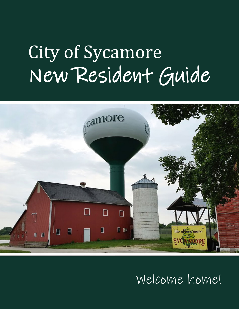# City of Sycamore New Resident Guide



# Welcome home!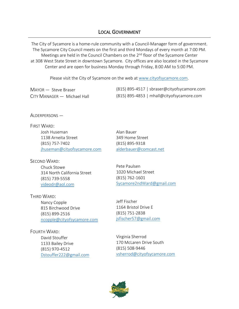# LOCAL GOVERNMENT j

The City of Sycamore is a home-rule community with a Council-Manager form of government. The Sycamore City Council meets on the first and third Mondays of every month at 7:00 PM. Meetings are held in the Council Chambers on the 2<sup>nd</sup> floor of the Sycamore Center at 308 West State Street in downtown Sycamore. City offices are also located in the Sycamore Center and are open for business Monday through Friday, 8:00 AM to 5:00 PM.

Please visit the City of Sycamore on the web a[t www.cityofsycamore.com.](http://www.cityofsycamore.com/)

| $M$ AYOR $-$ Steve Braser   | (815) 895-4517   sbraser@cityofsycamore.com |
|-----------------------------|---------------------------------------------|
| CITY MANAGER - Michael Hall | (815) 895-4853   mhall@cityofsycamore.com   |

ALDERPERSONS —

FIRST WARD: Josh Huseman 1138 Arneita Street (815) 757-7402 [jhuseman@cityofsycamore.com](mailto:jhuseman@cityofsycamore.com)

SECOND WARD:

 Chuck Stowe 314 North California Street (815) 739-5558 [videodr@aol.com](mailto:videodr@aol.com)

THIRD WARD: Nancy Copple 815 Birchwood Drive (815) 899-2516 [ncopple@cityofsycamore.com](mailto:ncopple@cityofsycamore.com)

FOURTH WARD: David Stouffer 1133 Bailey Drive (815) 970-4512 [Dstouffer222@gmail.com](mailto:Dstouffer222@gmail.com) Alan Bauer 349 Home Street (815) 895-9318 [alderbauer@comcast.net](mailto:alderbauer@comcast.net)

Pete Paulsen 1020 Michael Street (815) 762-1601 [Sycamore2ndWard@gmail.com](mailto:Sycamore2ndWard@gmail.com)

Jeff Fischer 1164 Bristol Drive E (815) 751-2838 [jsfischer57@gmail.com](mailto:jsfischer57@gmail.com)

Virginia Sherrod 170 McLaren Drive South (815) 508-9446 [vsherrod@cityofsycamore.com](mailto:vsherrod@cityofsycamore.com)

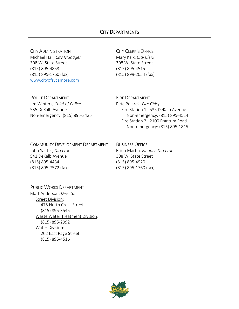CITY ADMINISTRATION Michael Hall, *City Manager* 308 W. State Street (815) 895-4853 (815) 895-1760 (fax) [www.cityofsycamore.com](http://www.cityofsycamore.com/)

CITY CLERK'S OFFICE Mary Kalk, *City Clerk* 308 W. State Street (815) 895-4515 (815) 899-2054 (fax)

POLICE DEPARTMENT Jim Winters, *Chief of Police* 535 DeKalb Avenue Non-emergency: (815) 895-3435 FIRE DEPARTMENT Pete Polarek, *Fire Chief* Fire Station 1: 535 DeKalb Avenue Non-emergency: (815) 895-4514 Fire Station 2: 2100 Frantum Road Non-emergency: (815) 895-1815

COMMUNITY DEVELOPMENT DEPARTMENT John Sauter, *Director* 541 DeKalb Avenue (815) 895-4434 (815) 895-7572 (fax)

BUSINESS OFFICE Brien Martin, *Finance Director* 308 W. State Street (815) 895-4920 (815) 895-1760 (fax)

PUBLIC WORKS DEPARTMENT Matt Anderson, *Director* Street Division: 475 North Cross Street (815) 895-3545 Waste Water Treatment Division: (815) 895-2992 Water Division: 202 East Page Street (815) 895-4516

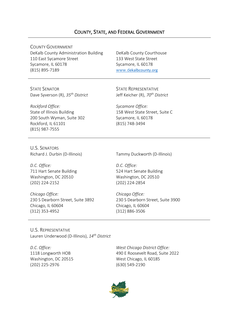# COUNTY, STATE, AND FEDERAL GOVERNMENT j

COUNTY GOVERNMENT DeKalb County Administration Building 110 East Sycamore Street Sycamore, IL 60178 (815) 895-7189

DeKalb County Courthouse 133 West State Street Sycamore, IL 60178 [www.d](http://www.dekalbcounty.org/)[ekalbcounty.org](http://www.dekalbcounty.org/)

STATE SENATOR Dave Syverson (R), *35th District*

*Rockford Office:* State of Illinois Building 200 South Wyman, Suite 302 Rockford, IL 61101 (815) 987-7555

STATE REPRESENTATIVE Jeff Keicher (R), *70th District*

*Sycamore Office:* 158 West State Street, Suite C Sycamore, IL 60178 (815) 748-3494

U.S. SENATORS Richard J. Durbin (D-Illinois)

Tammy Duckworth (D-Illinois)

*D.C. Office:* 711 Hart Senate Building Washington, DC 20510 (202) 224-2152

*Chicago Office:* 230 S Dearborn Street, Suite 3892 Chicago, IL 60604 (312) 353-4952

*D.C. Office:* 524 Hart Senate Building Washington, DC 20510 (202) 224-2854

*Chicago Office:* 230 S Dearborn Street, Suite 3900 Chicago, IL 60604 (312) 886-3506

U.S. REPRESENTATIVE Lauren Underwood (D-Illinois), *14th District*

*D.C*. *Office:* 1118 Longworth HOB Washington, DC 20515 (202) 225-2976

*West Chicago District Office:* 490 E Roosevelt Road, Suite 2022 West Chicago, IL 60185 (630) 549-2190

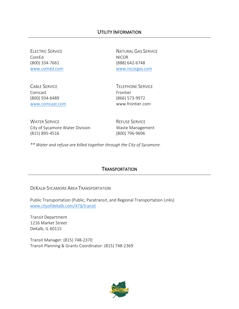ELECTRIC SERVICE ComEd (800) 334-7661 [www.comed.com](http://www.comed.com/)

CABLE SERVICE Comcast (800) 934-6489 [www.comcast.com](http://www.comcast.com/) NATURAL GAS SERVICE NICOR (888) 642-6748 [www.nicorgas.com](http://www.nicorgas.com/)

TELEPHONE SERVICE Frontier (866) 573-9972 www.frontier.com

WATER SERVICE City of Sycamore Water Division (815) 895-4516

REFUSE SERVICE Waste Management (800) 796-9696

*\*\* Water and refuse are billed together through the City of Sycamore.*

# **TRANSPORTATION** j

DEKALB-SYCAMORE AREA TRANSPORTATION

Public Transportation (Public, Paratransit, and Regional Transportation Links) [www.cityofdekalb.com/47](http://www.cityofdekalb.com/473/transit)3/transit

Transit Department 1216 Market Street DeKalb, IL 60115

Transit Manager: (815) 748-2370 Transit Planning & Grants Coordinator: (815) 748-2369

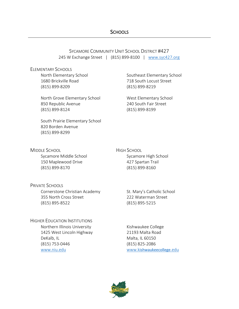SYCAMORE COMMUNITY UNIT SCHOOL DISTRICT #427 245 W Exchange Street | (815) 899-8100 | [www.syc427.org](http://www.syc427.org/)

ELEMENTARY SCHOOLS

 North Elementary School 1680 Brickville Road (815) 899-8209

 North Grove Elementary School 850 Republic Avenue (815) 899-8124

 South Prairie Elementary School 820 Borden Avenue (815) 899-8299

 Southeast Elementary School 718 South Locust Street (815) 899-8219

 West Elementary School 240 South Fair Street (815) 899-8199

MIDDLE SCHOOL

 Sycamore Middle School 150 Maplewood Drive (815) 899-8170

HIGH SCHOOL Sycamore High School 427 Spartan Trail (815) 899-8160

PRIVATE SCHOOLS Cornerstone Christian Academy 355 North Cross Street (815) 895-8522

 St. Mary's Catholic School 222 Waterman Street (815) 895-5215

HIGHER EDUCATION INSTITUTIONS Northern Illinois University 1425 West Lincoln Highway DeKalb, IL (815) 753-0446 [www.niu.edu](http://www.niu.edu/)

 Kishwaukee College 21193 Malta Road Malta, IL 60150 (815) 825-2086 www.k[ishwaukeecollege](http://www.kishwaukeecollege.edu/).edu